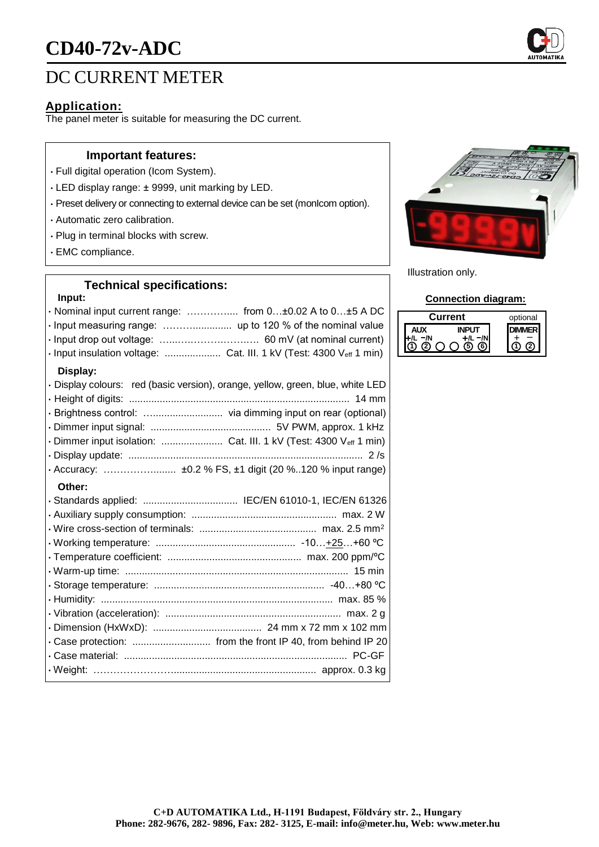# **CD40-72v-ADC**

# DC CURRENT METER

### **Application:**

The panel meter is suitable for measuring the DC current.

#### **Important features:**

- Full digital operation (Icom System).
- LED display range: ± 9999, unit marking by LED.
- Preset delivery or connecting to external device can be set (monIcom option).
- Automatic zero calibration.
- Plug in terminal blocks with screw.
- EMC compliance.

## **Technical specifications:**

#### **Input:**

| $\cdot$ Nominal input current range:  from 0 $\pm$ 0.02 A to 0 $\pm$ 5 A DC    |
|--------------------------------------------------------------------------------|
|                                                                                |
|                                                                                |
| · Input insulation voltage:  Cat. III. 1 kV (Test: 4300 Veff 1 min)            |
| Display:                                                                       |
| · Display colours: red (basic version), orange, yellow, green, blue, white LED |
|                                                                                |
|                                                                                |
|                                                                                |
| · Dimmer input isolation:  Cat. III. 1 kV (Test: 4300 Veff 1 min)              |
|                                                                                |
| · Accuracy:  ±0.2 % FS, ±1 digit (20 %120 % input range)                       |
| Other:                                                                         |
| · Standards applied:  IEC/EN 61010-1, IEC/EN 61326                             |
|                                                                                |
|                                                                                |
|                                                                                |
|                                                                                |
|                                                                                |
|                                                                                |
|                                                                                |
|                                                                                |
|                                                                                |
|                                                                                |
|                                                                                |
|                                                                                |



Illustration only.

#### **Connection diagram:**

| urrent |  | optional |
|--------|--|----------|
|        |  |          |